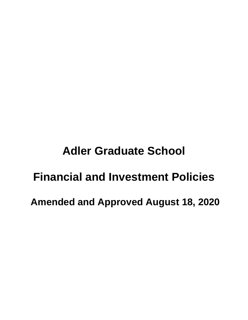# **Adler Graduate School Financial and Investment Policies**

**Amended and Approved August 18, 2020**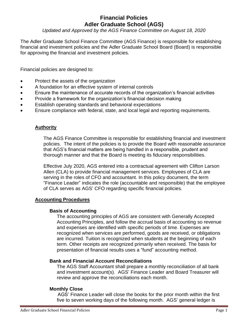# **Financial Policies Adler Graduate School (AGS)**

*Updated and Approved by the AGS Finance Committee on August 18, 2020*

The Adler Graduate School Finance Committee (AGS Finance) is responsible for establishing financial and investment policies and the Adler Graduate School Board (Board) is responsible for approving the financial and investment policies.

Financial policies are designed to:

- Protect the assets of the organization
- A foundation for an effective system of internal controls
- Ensure the maintenance of accurate records of the organization's financial activities
- Provide a framework for the organization's financial decision making
- Establish operating standards and behavioral expectations
- Ensure compliance with federal, state, and local legal and reporting requirements.

#### **Authority**

The AGS Finance Committee is responsible for establishing financial and investment policies. The intent of the policies is to provide the Board with reasonable assurance that AGS's financial matters are being handled in a responsible, prudent and thorough manner and that the Board is meeting its fiduciary responsibilities.

Effective July 2020, AGS entered into a contractual agreement with Clifton Larson Allen (CLA) to provide financial management services. Employees of CLA are serving in the roles of CFO and accountant. In this policy document, the term "Finance Leader" indicates the role (accountable and responsible) that the employee of CLA serves as AGS' CFO regarding specific financial policies.

#### **Accounting Procedures**

#### **Basis of Accounting**

The accounting principles of AGS are consistent with Generally Accepted Accounting Principles, and follow the accrual basis of accounting so revenue and expenses are identified with specific periods of time. Expenses are recognized when services are performed, goods are received, or obligations are incurred. Tuition is recognized when students at the beginning of each term. Other receipts are recognized primarily when received. The basis for presentation of financial results uses a "fund" accounting method.

#### **Bank and Financial Account Reconciliations**

The AGS Staff Accountant shall prepare a monthly reconciliation of all bank and investment account(s). AGS' Finance Leader and Board Treasurer will review and approve the reconciliations each month.

#### **Monthly Close**

 AGS' Finance Leader will close the books for the prior month within the first five to seven working days of the following month. AGS' general ledger is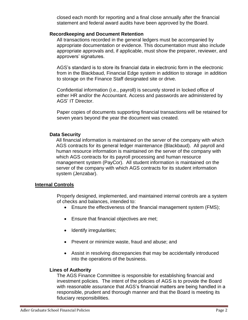closed each month for reporting and a final close annually after the financial statement and federal award audits have been approved by the Board.

#### **Recordkeeping and Document Retention**

All transactions recorded in the general ledgers must be accompanied by appropriate documentation or evidence. This documentation must also include appropriate approvals and, if applicable, must show the preparer, reviewer, and approvers' signatures.

AGS's standard is to store its financial data in electronic form in the electronic from in the Blackbaud, Financial Edge system in addition to storage in addition to storage on the Finance Staff designated site or drive.

Confidential information (i.e., payroll) is securely stored in locked office of either HR and/or the Accountant. Access and passwords are administered by AGS' IT Director.

Paper copies of documents supporting financial transactions will be retained for seven years beyond the year the document was created.

# **Data Security**

All financial information is maintained on the server of the company with which AGS contracts for its general ledger maintenance (Blackbaud). All payroll and human resource information is maintained on the server of the company with which AGS contracts for its payroll processing and human resource management system (PayCor). All student information is maintained on the server of the company with which AGS contracts for its student information system (Jenzabar).

# **Internal Controls**

Properly designed, implemented, and maintained internal controls are a system of checks and balances, intended to:

- Ensure the effectiveness of the financial management system (FMS);
- Ensure that financial objectives are met;
- Identify irregularities;
- Prevent or minimize waste, fraud and abuse; and
- Assist in resolving discrepancies that may be accidentally introduced into the operations of the business.

# **Lines of Authority**

The AGS Finance Committee is responsible for establishing financial and investment policies. The intent of the policies of AGS is to provide the Board with reasonable assurance that AGS's financial matters are being handled in a responsible, prudent and thorough manner and that the Board is meeting its fiduciary responsibilities.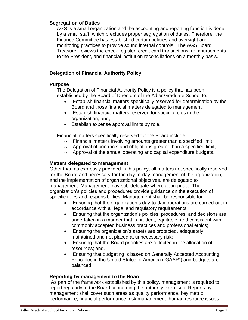#### **Segregation of Duties**

AGS is a small organization and the accounting and reporting function is done by a small staff, which precludes proper segregation of duties. Therefore, the Finance Committee has established certain policies and oversight and monitoring practices to provide sound internal controls. The AGS Board Treasurer reviews the check register, credit card transactions, reimbursements to the President, and financial institution reconciliations on a monthly basis.

# **Delegation of Financial Authority Policy**

# **Purpose**

The Delegation of Financial Authority Policy is a policy that has been established by the Board of Directors of the Adler Graduate School to:

- Establish financial matters specifically reserved for determination by the Board and those financial matters delegated to management;
- Establish financial matters reserved for specific roles in the organization; and,
- Establish expense approval limits by role.

Financial matters specifically reserved for the Board include:

- o Financial matters involving amounts greater than a specified limit;
- o Approval of contracts and obligations greater than a specified limit;
- o Approval of the annual operating and capital expenditure budgets.

# **Matters delegated to management**

Other than as expressly provided in this policy, all matters not specifically reserved for the Board and necessary for the day-to-day management of the organization, and the implementation of organizational objectives, are delegated to management. Management may sub-delegate where appropriate. The organization's policies and procedures provide guidance on the execution of specific roles and responsibilities. Management shall be responsible for:

- Ensuring that the organization's day-to-day operations are carried out in accordance with all legal and regulatory requirements;
- Ensuring that the organization's policies, procedures, and decisions are undertaken in a manner that is prudent, equitable, and consistent with commonly accepted business practices and professional ethics;
- Ensuring the organization's assets are protected, adequately maintained and not placed at unnecessary risk;
- Ensuring that the Board priorities are reflected in the allocation of resources; and,
- Ensuring that budgeting is based on Generally Accepted Accounting Principles in the United States of America ("GAAP") and budgets are balanced.

# **Reporting by management to the Board**

As part of the framework established by this policy, management is required to report regularly to the Board concerning the authority exercised. Reports by management shall cover such areas as quality performance, key metric performance, financial performance, risk management, human resource issues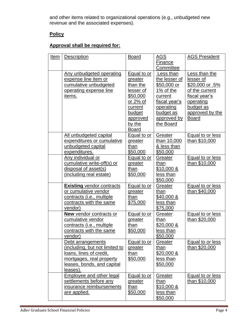and other items related to organizational operations (e.g., unbudgeted new revenue and the associated expenses).

# **Policy**

# **Approval shall be required for:**

| Item | Description                                                                                                                                          | <b>Board</b>                                                                                                                              | <u>AGS</u><br>Finance<br>Committee                                                                                                       | <b>AGS President</b>                                                                                                                          |
|------|------------------------------------------------------------------------------------------------------------------------------------------------------|-------------------------------------------------------------------------------------------------------------------------------------------|------------------------------------------------------------------------------------------------------------------------------------------|-----------------------------------------------------------------------------------------------------------------------------------------------|
|      | Any unbudgeted operating<br>expense line item or<br>cumulative unbudgeted<br>operating expense line<br>items.                                        | Equal to or<br>greater<br>than the<br>lesser of<br>\$50,000<br>or 2% of<br>current<br>budget<br><u>approved</u><br>by the<br><b>Board</b> | Less than<br>the lesser of<br>\$50,000 or<br>1% of the<br>current<br>fiscal year's<br>operating<br>budget as<br>approved by<br>the Board | Less than the<br>lesser of<br>\$20,000 or .5%<br>of the current<br>fiscal year's<br>operating<br>budget as<br>approved by the<br><b>Board</b> |
|      | All unbudgeted capital<br>expenditures or cumulative<br>unbudgeted capital<br>expenditures.                                                          | <b>Equal to or</b><br>greater<br>than<br>\$50,000                                                                                         | Greater<br>than 10,000<br>& less than<br>\$50,000                                                                                        | <b>Equal to or less</b><br>than \$10,000                                                                                                      |
|      | Any individual or<br>cumulative write-off(s) or<br>disposal of asset(s)<br>(including real estate)                                                   | <b>Equal to or</b><br>greater<br>than<br>\$50,000                                                                                         | Greater<br>than<br>$$10,000 \&$<br>less than<br>\$50,000                                                                                 | <b>Equal to or less</b><br>than \$10,000                                                                                                      |
|      | <b>Existing vendor contracts</b><br>or cumulative vendor<br>contracts (i.e., multiple<br>contracts with the same<br>vendor)                          | <b>Equal to or</b><br>greater<br>than<br>\$75,000                                                                                         | Greater<br>than<br>\$40,000 &<br>less than<br>\$75,000                                                                                   | <b>Equal to or less</b><br>than \$40,000                                                                                                      |
|      | <b>New vendor contracts or</b><br>cumulative vendor<br>contracts (i.e., multiple<br>contracts with the same<br>vendor)                               | <b>Equal to or</b><br>greater<br>than<br>\$50,000                                                                                         | Greater<br>than<br><u>\$20,000 &amp;</u><br>less than<br>\$50,000                                                                        | <b>Equal to or less</b><br>than \$20,000                                                                                                      |
|      | Debt arrangements<br>(including, but not limited to<br>loans, lines of credit,<br>mortgages, real property<br>leases, bonds, and capital<br>leases). | Equal to or<br>greater<br>than<br>\$50,000                                                                                                | Greater<br>than<br>$$20,000 \&$<br>less than<br>\$50,000                                                                                 | Equal to or less<br>than \$20,000                                                                                                             |
|      | <b>Employee and other legal</b><br>settlements before any<br>insurance reimbursements<br>are applied.                                                | <b>Equal to or</b><br>greater<br>than<br>\$50,000                                                                                         | Greater<br>than<br>\$10,000 &<br>less than<br>\$50,000                                                                                   | Equal to or less<br>than \$10,000                                                                                                             |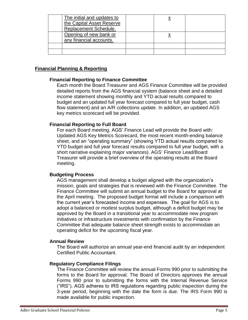| The initial and updates to |  |  |
|----------------------------|--|--|
| the Capital Asset Reserve  |  |  |
| Replacement Schedule.      |  |  |
| Opening of new bank or     |  |  |
| any financial accounts.    |  |  |
|                            |  |  |
|                            |  |  |

#### **Financial Planning & Reporting**

#### **Financial Reporting to Finance Committee**

Each month the Board Treasurer and AGS Finance Committee will be provided detailed reports from the AGS financial system (balance sheet and a detailed income statement showing monthly and YTD actual results compared to budget and an updated full year forecast compared to full year budget, cash flow statement) and an A/R collections update. In addition, an updated AGS key metrics scorecard will be provided.

#### **Financial Reporting to Full Board**

For each Board meeting, AGS' Finance Lead will provide the Board with: Updated AGS Key Metrics Scorecard, the most recent month-ending balance sheet, and an "operating summary" (showing YTD actual results compared to YTD budget and full year forecast results compared to full year budget, with a short narrative explaining major variances). AGS' Finance Lead/Board Treasurer will provide a brief overview of the operating results at the Board meeting.

#### **Budgeting Process**

AGS management shall develop a budget aligned with the organization's mission, goals and strategies that is reviewed with the Finance Committee. The Finance Committee will submit an annual budget to the Board for approval at the April meeting. The proposed budget format will include a comparison with the current year's forecasted income and expenses. The goal for AGS is to adopt a balanced or modest surplus budget, although a deficit budget may be approved by the Board in a transitional year to accommodate new program initiatives or infrastructure investments with confirmation by the Finance Committee that adequate balance sheet strength exists to accommodate an operating deficit for the upcoming fiscal year.

#### **Annual Review**

The Board will authorize an annual year-end financial audit by an independent Certified Public Accountant.

#### **Regulatory Compliance Filings**

The Finance Committee will review the annual Forms 990 prior to submitting the forms to the Board for approval. The Board of Directors approves the annual Forms 990 prior to submitting the forms with the Internal Revenue Service ("IRS"). AGS adheres to IRS regulations regarding public inspection during the 3-year period, beginning with the date the form is due. The IRS Form 990 is made available for public inspection.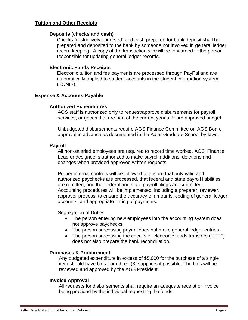#### **Tuition and Other Receipts**

#### **Deposits (checks and cash)**

Checks (restrictively endorsed) and cash prepared for bank deposit shall be prepared and deposited to the bank by someone not involved in general ledger record keeping. A copy of the transaction slip will be forwarded to the person responsible for updating general ledger records.

#### **Electronic Funds Receipts**

Electronic tuition and fee payments are processed through PayPal and are automatically applied to student accounts in the student information system (SONIS).

#### **Expense & Accounts Payable**

#### **Authorized Expenditures**

AGS staff is authorized only to request/approve disbursements for payroll, services, or goods that are part of the current year's Board approved budget.

Unbudgeted disbursements require AGS Finance Committee or, AGS Board approval in advance as documented in the Adler Graduate School by-laws.

#### **Payroll**

All non-salaried employees are required to record time worked. AGS' Finance Lead or designee is authorized to make payroll additions, deletions and changes when provided approved written requests.

Proper internal controls will be followed to ensure that only valid and authorized paychecks are processed, that federal and state payroll liabilities are remitted, and that federal and state payroll filings are submitted. Accounting procedures will be implemented, including a preparer, reviewer, approver process, to ensure the accuracy of amounts, coding of general ledger accounts, and appropriate timing of payments.

Segregation of Duties

- The person entering new employees into the accounting system does not approve paychecks.
- The person processing payroll does not make general ledger entries.
- The person processing the checks or electronic funds transfers ("EFT") does not also prepare the bank reconciliation.

#### **Purchases & Procurement**

Any budgeted expenditure in excess of \$5,000 for the purchase of a single item should have bids from three (3) suppliers if possible. The bids will be reviewed and approved by the AGS President.

#### **Invoice Approval**

All requests for disbursements shall require an adequate receipt or invoice being provided by the individual requesting the funds.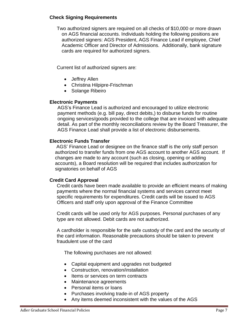#### **Check Signing Requirements**

Two authorized signers are required on all checks of \$10,000 or more drawn on AGS financial accounts. Individuals holding the following positions are authorized signers: AGS President, AGS Finance Lead if employee, Chief Academic Officer and Director of Admissions. Additionally, bank signature cards are required for authorized signers.

Current list of authorized signers are:

- Jeffrey Allen
- Christina Hilpipre-Frischman
- Solange Ribeiro

#### **Electronic Payments**

AGS's Finance Lead is authorized and encouraged to utilize electronic payment methods (e.g. bill pay, direct debits,) to disburse funds for routine ongoing services/goods provided to the college that are invoiced with adequate detail. As part of the monthly reconciliations review by the Board Treasurer, the AGS Finance Lead shall provide a list of electronic disbursements.

#### **Electronic Funds Transfer**

AGS' Finance Lead or designee on the finance staff is the only staff person authorized to transfer funds from one AGS account to another AGS account. If changes are made to any account (such as closing, opening or adding accounts), a Board resolution will be required that includes authorization for signatories on behalf of AGS

# **Credit Card Approval**

Credit cards have been made available to provide an efficient means of making payments where the normal financial systems and services cannot meet specific requirements for expenditures. Credit cards will be issued to AGS Officers and staff only upon approval of the Finance Committee

Credit cards will be used only for AGS purposes. Personal purchases of any type are not allowed. Debit cards are not authorized.

A cardholder is responsible for the safe custody of the card and the security of the card information. Reasonable precautions should be taken to prevent fraudulent use of the card

The following purchases are not allowed:

- Capital equipment and upgrades not budgeted
- Construction, renovation/installation
- Items or services on term contracts
- Maintenance agreements
- Personal items or loans
- Purchases involving trade-in of AGS property
- Any items deemed inconsistent with the values of the AGS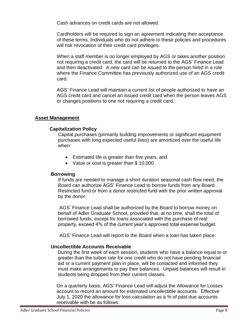Cash advances on credit cards are not allowed.

Cardholders will be required to sign an agreement indicating their acceptance of these terms. Individuals who do not adhere to these policies and procedures will risk revocation of their credit card privileges.

When a staff member is no longer employed by AGS or takes another position not requiring a credit card, the card will be returned to the AGS' Finance Lead and then deactivated. A new card can be issued to the person hired in a role where the Finance Committee has previously authorized use of an AGS credit card.

AGS' Finance Lead will maintain a current list of people authorized to have an AGS credit card and cancel an issued credit card when the person leaves AGS or changes positions to one not requiring a credit card.

#### **Asset Management**

#### **Capitalization Policy**

Capital purchases (primarily building improvements or significant equipment purchases with long expected useful lives) are amortized over the useful life when:

- Estimated life is greater than five years, and
- Value or cost is greater than \$10,000

#### **Borrowing**

If funds are needed to manage a short duration seasonal cash flow need, the Board can authorize AGS' Finance Lead to borrow funds from any Board Restricted fund or from a donor restricted fund with the prior written approval by the donor.

AGS' Finance Lead shall be authorized by the Board to borrow money on behalf of Adler Graduate School, provided that, at no time, shall the total of borrowed funds, except for loans associated with the purchase of real property, exceed 4% of the current year's approved total expense budget.

AGS' Finance Lead will report to the Board when a loan has taken place.

#### **Uncollectible Accounts Receivable**

During the first week of each session, students who have a balance equal to or greater than the tuition rate for one credit who do not have pending financial aid or a current payment plan in place, will be contacted and informed they must make arrangements to pay their balances. Unpaid balances will result in students being dropped from their current classes.

On a quarterly basis, AGS' Finance Lead will adjust the Allowance for Losses account to record an amount for estimated uncollectible accounts. Effective July 1, 2020 the allowance for loss calculation as a % of past due accounts receivable with be as follows: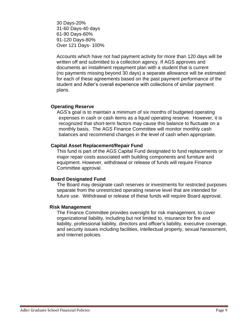30 Days-20% 31-60 Days-40 days 61-90 Days-60% 91-120 Days-80% Over 121 Days- 100%

Accounts which have not had payment activity for more than 120 days will be written off and submitted to a collection agency. If AGS approves and documents an installment repayment plan with a student that is current (no payments missing beyond 30 days) a separate allowance will be estimated for each of these agreements based on the past payment performance of the student and Adler's overall experience with collections of similar payment plans.

#### **Operating Reserve**

AGS's goal is to maintain a minimum of six months of budgeted operating expenses in cash or cash items as a liquid operating reserve. However, it is recognized that short-term factors may cause this balance to fluctuate on a monthly basis. The AGS Finance Committee will monitor monthly cash balances and recommend changes in the level of cash when appropriate.

#### **Capital Asset Replacement/Repair Fund**

This fund is part of the AGS Capital Fund designated to fund replacements or major repair costs associated with building components and furniture and equipment. However, withdrawal or release of funds will require Finance Committee approval.

#### **Board Designated Fund**

The Board may designate cash reserves or investments for restricted purposes separate from the unrestricted operating reserve level that are intended for future use. Withdrawal or release of these funds will require Board approval.

#### **Risk Management**

The Finance Committee provides oversight for risk management, to cover organizational liability, including but not limited to, insurance for fire and liability, professional liability, directors and officer's liability, executive coverage, and security issues including facilities, intellectual property, sexual harassment, and Internet policies.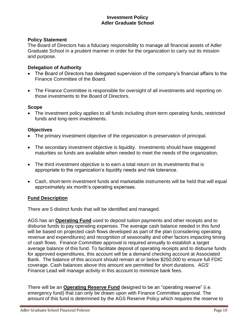#### **Investment Policy Adler Graduate School**

#### **Policy Statement**

The Board of Directors has a fiduciary responsibility to manage all financial assets of Adler Graduate School in a prudent manner in order for the organization to carry out its mission and purpose.

#### **Delegation of Authority**

- The Board of Directors has delegated supervision of the company's financial affairs to the Finance Committee of the Board.
- The Finance Committee is responsible for oversight of all investments and reporting on those investments to the Board of Directors.

#### **Scope**

• The investment policy applies to all funds including short-term operating funds, restricted funds and long-term investments.

#### **Objectives**

- The primary investment objective of the organization is preservation of principal.
- The secondary investment objective is liquidity. Investments should have staggered maturities so funds are available when needed to meet the needs of the organization.
- The third investment objective is to earn a total return on its investments that is appropriate to the organization's liquidity needs and risk tolerance.
- Cash, short-term investment funds and marketable instruments will be held that will equal approximately six month's operating expenses.

#### **Fund Description**

There are 5 distinct funds that will be identified and managed.

AGS has an **Operating Fund** used to deposit tuition payments and other receipts and to disburse funds to pay operating expenses. The average cash balance needed in this fund will be based on projected cash flows developed as part of the plan (considering operating revenue and expenditures) and recognition of seasonality and other factors impacting timing of cash flows. Finance Committee approval is required annually to establish a target average balance of this fund. To facilitate deposit of operating receipts and to disburse funds for approved expenditures, this account will be a demand checking account at Associated Bank. The balance of this account should remain at or below \$250,000 to ensure full FDIC coverage. Cash balances above this amount are permitted for short durations. AGS' Finance Lead will manage activity in this account to minimize bank fees.

There will be an **Operating Reserve Fund** designed to be an "operating reserve" (i.e. emergency fund) that can only be drawn upon with Finance Committee approval. The amount of this fund is determined by the AGS Reserve Policy which requires the reserve to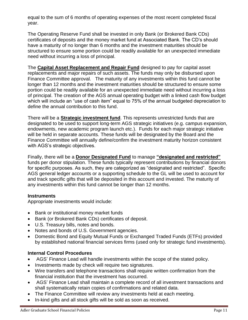equal to the sum of 6 months of operating expenses of the most recent completed fiscal year.

The Operating Reserve Fund shall be invested in only Bank (or Brokered Bank CDs) certificates of deposits and the money market fund at Associated Bank. The CD's should have a maturity of no longer than 6 months and the investment maturities should be structured to ensure some portion could be readily available for an unexpected immediate need without incurring a loss of principal.

The **Capital Asset Replacement and Repair Fund** designed to pay for capital asset replacements and major repairs of such assets. The funds may only be disbursed upon Finance Committee approval. The maturity of any investments within this fund cannot be longer than 12 months and the investment maturities should be structured to ensure some portion could be readily available for an unexpected immediate need without incurring a loss of principal. The creation of the AGS annual operating budget with a linked cash flow budget which will include an "use of cash item" equal to 75% of the annual budgeted depreciation to define the annual contribution to this fund.

There will be a **Strategic investment fund**. This represents unrestricted funds that are designated to be used to support long-term AGS strategic initiatives (e.g. campus expansion, endowments, new academic program launch etc.). Funds for each major strategic initiative will be held in separate accounts. These funds will be designated by the Board and the Finance Committee will annually define/confirm the investment maturity horizon consistent with AGS's strategic objectives.

Finally, there will be a **Donor Designated Fund** to manage **"designated and restricted"**  funds per donor stipulation. These funds typically represent contributions by financial donors for specific purposes. As such, they are categorized as "designated and restricted". Specific AGS general ledger accounts or a supporting schedule to the GL will be used to account for and track specific gifts that will be deposited in this account and invested. The maturity of any investments within this fund cannot be longer than 12 months.

# **Instruments**

Appropriate investments would include:

- Bank or institutional money market funds
- Bank (or Brokered Bank CDs) certificates of deposit.
- U.S. Treasury bills, notes and bonds.
- Notes and bonds of U.S. Government agencies.
- Domestic Bond and Equity Mutual Funds or Exchanged Traded Funds (ETFs) provided by established national financial services firms (used only for strategic fund investments).

# **Internal Control Procedures**

- AGS' Finance Lead will handle investments within the scope of the stated policy.
- Investments made by check will require two signatures.
- Wire transfers and telephone transactions shall require written confirmation from the financial institution that the investment has occurred.
- AGS' Finance Lead shall maintain a complete record of all investment transactions and shall systematically retain copies of confirmations and related data.
- The Finance Committee will review any investments held at each meeting.
- In-kind gifts and all stock gifts will be sold as soon as received.